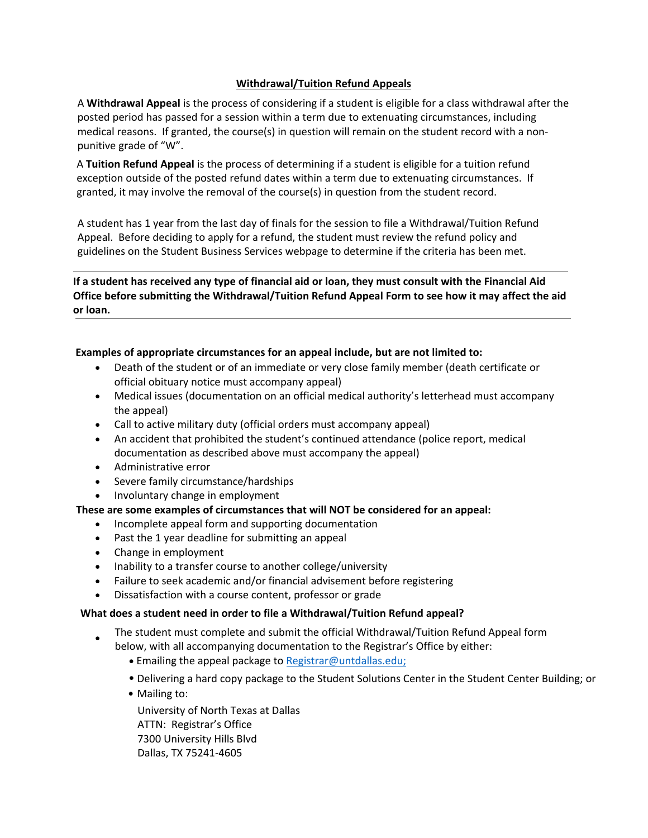# **Withdrawal/Tuition Refund Appeals**

A **Withdrawal Appeal** is the process of considering if a student is eligible for a class withdrawal after the posted period has passed for a session within a term due to extenuating circumstances, including medical reasons. If granted, the course(s) in question will remain on the student record with a non‐ punitive grade of "W".

A **Tuition Refund Appeal** is the process of determining if a student is eligible for a tuition refund exception outside of the posted refund dates within a term due to extenuating circumstances. If granted, it may involve the removal of the course(s) in question from the student record.

A student has 1 year from the last day of finals for the session to file a Withdrawal/Tuition Refund Appeal. Before deciding to apply for a refund, the student must review the refund policy and guidelines on the Student Business Services webpage to determine if the criteria has been met.

**If a student has received any type of financial aid or loan, they must consult with the Financial Aid Office before submitting the Withdrawal/Tuition Refund Appeal Form to see how it may affect the aid or loan.**

# **Examples of appropriate circumstances for an appeal include, but are not limited to:**

- Death of the student or of an immediate or very close family member (death certificate or official obituary notice must accompany appeal)
- Medical issues (documentation on an official medical authority's letterhead must accompany the appeal)
- Call to active military duty (official orders must accompany appeal)
- An accident that prohibited the student's continued attendance (police report, medical documentation as described above must accompany the appeal)
- Administrative error
- Severe family circumstance/hardships
- Involuntary change in employment

### **These are some examples of circumstances that will NOT be considered for an appeal:**

- Incomplete appeal form and supporting documentation
- Past the 1 year deadline for submitting an appeal
- Change in employment
- Inability to a transfer course to another college/university
- Failure to seek academic and/or financial advisement before registering
- Dissatisfaction with a course content, professor or grade

### **What does a student need in order to file a Withdrawal/Tuition Refund appeal?**

- The student must complete and submit the official Withdrawal/Tuition Refund Appeal form
	- below, with all accompanying documentation to the Registrar's Office by either:
		- Emailing the appeal package to Registrar@untdallas.edu;
		- Delivering a hard copy package to the Student Solutions Center in the Student Center Building; or
		- Mailing to:

University of North Texas at Dallas ATTN: Registrar's Office 7300 University Hills Blvd Dallas, TX 75241‐4605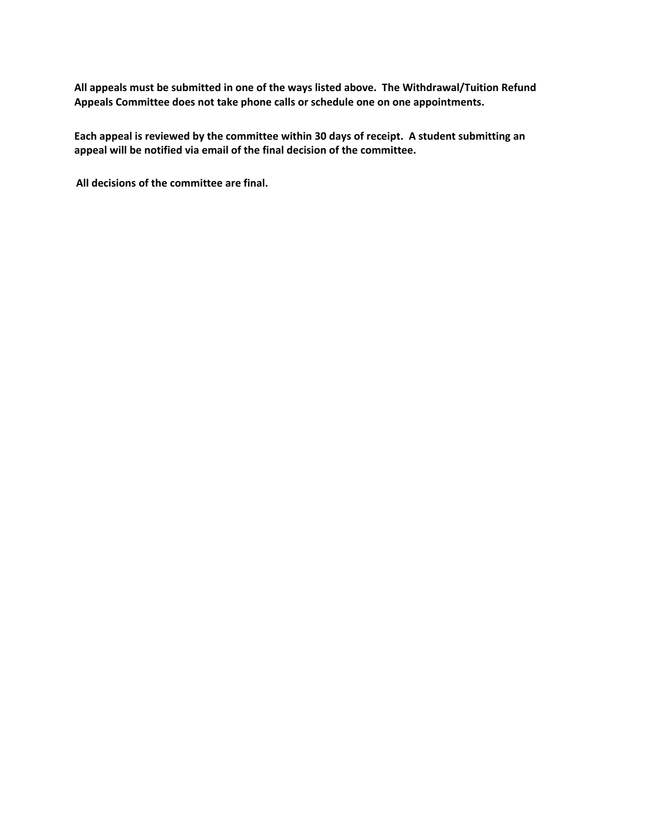**All appeals must be submitted in one of the ways listed above. The Withdrawal/Tuition Refund Appeals Committee does not take phone calls or schedule one on one appointments.** 

**Each appeal is reviewed by the committee within 30 days of receipt. A student submitting an appeal will be notified via email of the final decision of the committee.**

**All decisions of the committee are final.**